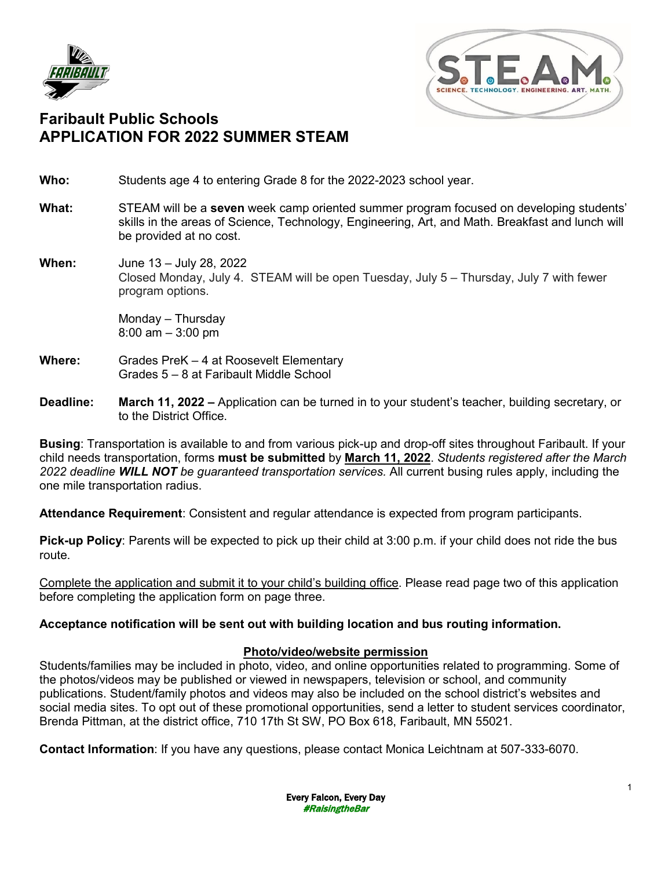



## **Faribault Public Schools APPLICATION FOR 2022 SUMMER STEAM**

**Who:** Students age 4 to entering Grade 8 for the 2022-2023 school year.

- **What:** STEAM will be a **seven** week camp oriented summer program focused on developing students' skills in the areas of Science, Technology, Engineering, Art, and Math. Breakfast and lunch will be provided at no cost.
- **When:** June 13 July 28, 2022 Closed Monday, July 4. STEAM will be open Tuesday, July 5 – Thursday, July 7 with fewer program options.

Monday – Thursday 8:00 am – 3:00 pm

- **Where:** Grades PreK 4 at Roosevelt Elementary Grades 5 – 8 at Faribault Middle School
- **Deadline: March 11, 2022 –** Application can be turned in to your student's teacher, building secretary, or to the District Office.

**Busing**: Transportation is available to and from various pick-up and drop-off sites throughout Faribault. If your child needs transportation, forms **must be submitted** by **March 11, 2022**. *Students registered after the March 2022 deadline WILL NOT be guaranteed transportation services.* All current busing rules apply, including the one mile transportation radius.

**Attendance Requirement**: Consistent and regular attendance is expected from program participants.

**Pick-up Policy**: Parents will be expected to pick up their child at 3:00 p.m. if your child does not ride the bus route.

Complete the application and submit it to your child's building office. Please read page two of this application before completing the application form on page three.

#### **Acceptance notification will be sent out with building location and bus routing information.**

#### **Photo/video/website permission**

Students/families may be included in photo, video, and online opportunities related to programming. Some of the photos/videos may be published or viewed in newspapers, television or school, and community publications. Student/family photos and videos may also be included on the school district's websites and social media sites. To opt out of these promotional opportunities, send a letter to student services coordinator, Brenda Pittman, at the district office, 710 17th St SW, PO Box 618, Faribault, MN 55021.

**Contact Information**: If you have any questions, please contact Monica Leichtnam at 507-333-6070.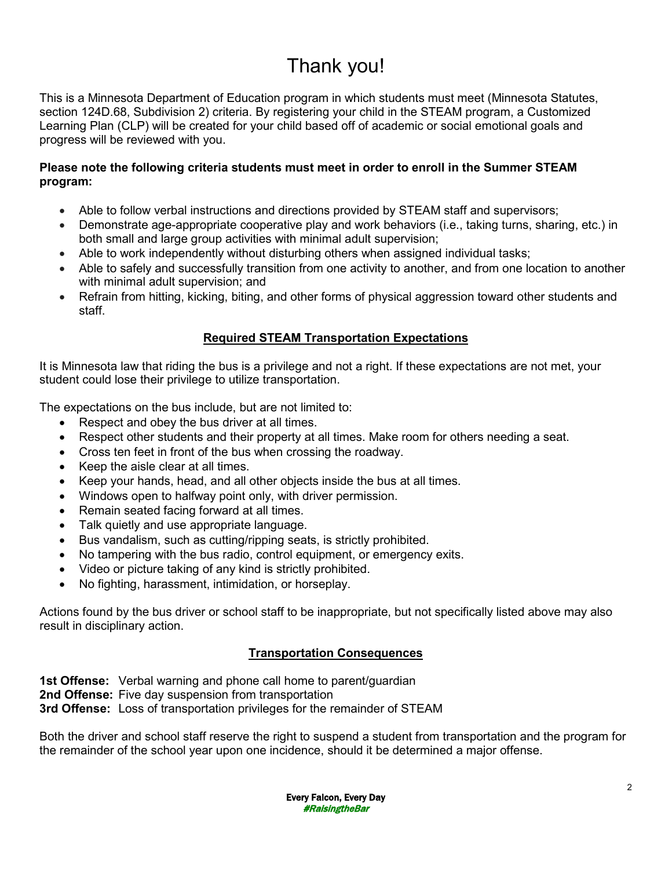# Thank you!

This is a Minnesota Department of Education program in which students must meet (Minnesota Statutes, section 124D.68, Subdivision 2) criteria. By registering your child in the STEAM program, a Customized Learning Plan (CLP) will be created for your child based off of academic or social emotional goals and progress will be reviewed with you.

#### **Please note the following criteria students must meet in order to enroll in the Summer STEAM program:**

- Able to follow verbal instructions and directions provided by STEAM staff and supervisors;
- Demonstrate age-appropriate cooperative play and work behaviors (i.e., taking turns, sharing, etc.) in both small and large group activities with minimal adult supervision;
- Able to work independently without disturbing others when assigned individual tasks;
- Able to safely and successfully transition from one activity to another, and from one location to another with minimal adult supervision; and
- Refrain from hitting, kicking, biting, and other forms of physical aggression toward other students and staff.

### **Required STEAM Transportation Expectations**

It is Minnesota law that riding the bus is a privilege and not a right. If these expectations are not met, your student could lose their privilege to utilize transportation.

The expectations on the bus include, but are not limited to:

- Respect and obey the bus driver at all times.
- Respect other students and their property at all times. Make room for others needing a seat.
- Cross ten feet in front of the bus when crossing the roadway.
- Keep the aisle clear at all times.
- Keep your hands, head, and all other objects inside the bus at all times.
- Windows open to halfway point only, with driver permission.
- Remain seated facing forward at all times.
- Talk quietly and use appropriate language.
- Bus vandalism, such as cutting/ripping seats, is strictly prohibited.
- No tampering with the bus radio, control equipment, or emergency exits.
- Video or picture taking of any kind is strictly prohibited.
- No fighting, harassment, intimidation, or horseplay.

Actions found by the bus driver or school staff to be inappropriate, but not specifically listed above may also result in disciplinary action.

#### **Transportation Consequences**

**1st Offense:** Verbal warning and phone call home to parent/guardian **2nd Offense:** Five day suspension from transportation

**3rd Offense:** Loss of transportation privileges for the remainder of STEAM

Both the driver and school staff reserve the right to suspend a student from transportation and the program for the remainder of the school year upon one incidence, should it be determined a major offense.